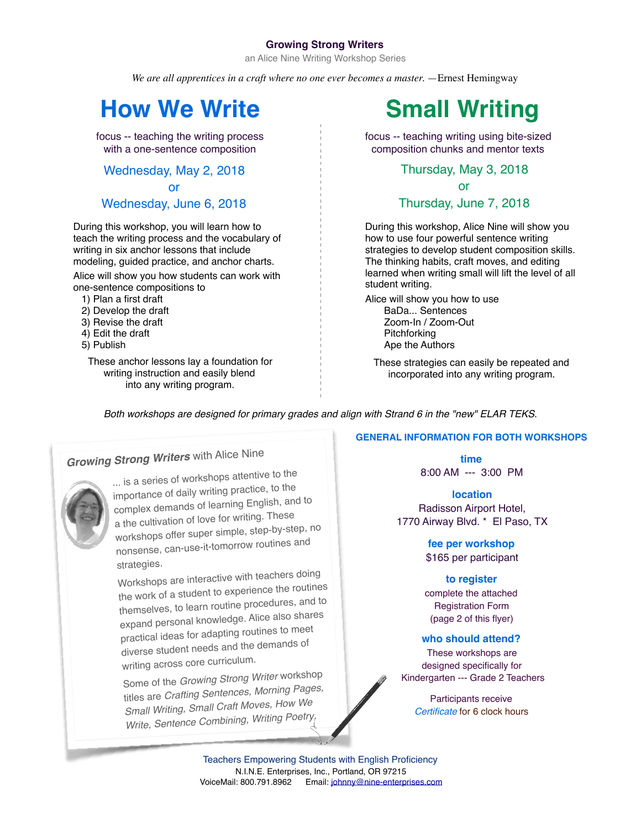### **Growing Strong Writers**

an Alice Nine Writing Workshop Series

*We are all apprentices in a craft where no one ever becomes a master.* —Ernest Hemingway

# **How We Write Small Writing**

focus -- teaching the writing process with a one-sentence composition

Wednesday, May 2, 2018

or

## Wednesday, June 6, 2018

During this workshop, you will learn how to teach the writing process and the vocabulary of writing in six anchor lessons that include modeling, guided practice, and anchor charts.

Alice will show you how students can work with one-sentence compositions to

- 1) Plan a first draft
- 2) Develop the draft
- 3) Revise the draft
- 4) Edit the draft
- 5) Publish

These anchor lessons lay a foundation for writing instruction and easily blend into any writing program.



focus -- teaching writing using bite-sized composition chunks and mentor texts

### Thursday, May 3, 2018

or Thursday, June 7, 2018

During this workshop, Alice Nine will show you how to use four powerful sentence writing strategies to develop student composition skills. The thinking habits, craft moves, and editing learned when writing small will lift the level of all student writing.

Alice will show you how to use BaDa... Sentences Zoom-In / Zoom-Out Pitchforking Ape the Authors

These strategies can easily be repeated and incorporated into any writing program.

*Both workshops are designed for primary grades and align with Strand 6 in the "new" ELAR TEKS*.

# *Growing Strong Writers* with Alice Nine



... is a series of workshops attentive to the importance of daily writing practice, to the complex demands of learning English, and to a the cultivation of love for writing. These workshops offer super simple, step-by-step, no nonsense, can-use-it-tomorrow routines and strategies.

Workshops are interactive with teachers doing the work of a student to experience the routines themselves, to learn routine procedures, and to expand personal knowledge. Alice also shares practical ideas for adapting routines to meet diverse student needs and the demands of writing across core curriculum.

Some of the *Growing Strong Writer* workshop titles are *Crafting Sentences, Morning Pages, Small Writing, Small Craft Moves, How We Write, Sentence Combining, Writing Poetry.*

### **GENERAL INFORMATION FOR BOTH WORKSHOPS**

**time** 8:00 AM --- 3:00 PM

**location** Radisson Airport Hotel, 1770 Airway Blvd. \* El Paso, TX

> **fee per workshop** \$165 per participant

### **to register**

complete the attached Registration Form (page 2 of this flyer)

### **who should attend?**

These workshops are designed specifically for Kindergarten --- Grade 2 Teachers

> Participants receive *Certificate* for 6 clock hours